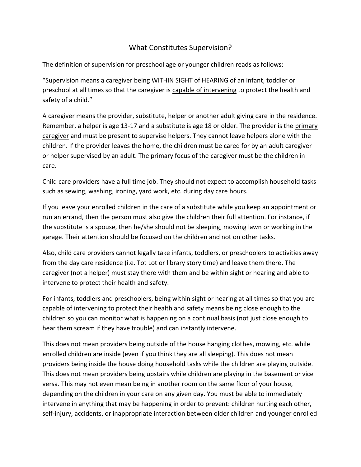## What Constitutes Supervision?

The definition of supervision for preschool age or younger children reads as follows:

"Supervision means a caregiver being WITHIN SIGHT of HEARING of an infant, toddler or preschool at all times so that the caregiver is capable of intervening to protect the health and safety of a child."

A caregiver means the provider, substitute, helper or another adult giving care in the residence. Remember, a helper is age 13-17 and a substitute is age 18 or older. The provider is the primary caregiver and must be present to supervise helpers. They cannot leave helpers alone with the children. If the provider leaves the home, the children must be cared for by an adult caregiver or helper supervised by an adult. The primary focus of the caregiver must be the children in care.

Child care providers have a full time job. They should not expect to accomplish household tasks such as sewing, washing, ironing, yard work, etc. during day care hours.

If you leave your enrolled children in the care of a substitute while you keep an appointment or run an errand, then the person must also give the children their full attention. For instance, if the substitute is a spouse, then he/she should not be sleeping, mowing lawn or working in the garage. Their attention should be focused on the children and not on other tasks.

Also, child care providers cannot legally take infants, toddlers, or preschoolers to activities away from the day care residence (i.e. Tot Lot or library story time) and leave them there. The caregiver (not a helper) must stay there with them and be within sight or hearing and able to intervene to protect their health and safety.

For infants, toddlers and preschoolers, being within sight or hearing at all times so that you are capable of intervening to protect their health and safety means being close enough to the children so you can monitor what is happening on a continual basis (not just close enough to hear them scream if they have trouble) and can instantly intervene.

This does not mean providers being outside of the house hanging clothes, mowing, etc. while enrolled children are inside (even if you think they are all sleeping). This does not mean providers being inside the house doing household tasks while the children are playing outside. This does not mean providers being upstairs while children are playing in the basement or vice versa. This may not even mean being in another room on the same floor of your house, depending on the children in your care on any given day. You must be able to immediately intervene in anything that may be happening in order to prevent: children hurting each other, self-injury, accidents, or inappropriate interaction between older children and younger enrolled